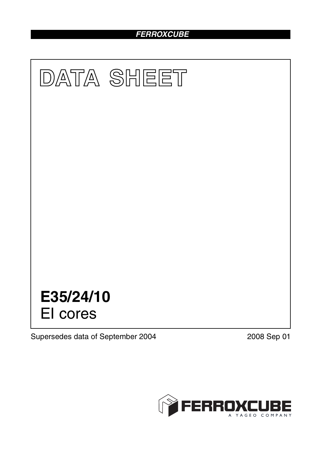# *FERROXCUBE*



Supersedes data of September 2004 2008 Sep 01

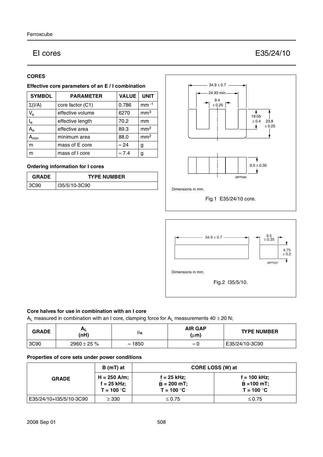# EI cores E35/24/10

# **CORES**

# **Effective core parameters of an E / I combination**

| <b>SYMBOL</b>           | <b>PARAMETER</b> | <b>VALUE</b>  | <b>UNIT</b>     |
|-------------------------|------------------|---------------|-----------------|
| $\Sigma(I/A)$           | core factor (C1) | 0.786         | $mm-1$          |
| $V_{e}$                 | effective volume | 6270          | mm <sup>3</sup> |
| $\mathsf{I}_\mathsf{e}$ | effective length | 70.2          | mm              |
| $A_{\rm e}$             | effective area   | 89.3          | mm <sup>2</sup> |
| $A_{min}$               | minimum area     | 88.0          | mm <sup>2</sup> |
| m                       | mass of E core   | $\approx 24$  | g               |
| m                       | mass of I core   | $\approx 7.4$ | g               |

# **Ordering information for I cores**

| <b>GRADE</b> | <b>TYPE NUMBER</b> |  |
|--------------|--------------------|--|
| 3C90         | I35/5/10-3C90      |  |





#### **Core halves for use in combination with an I core**

A<sub>L</sub> measured in combination with an I core, clamping force for A<sub>L</sub> measurements  $40 \pm 20$  N;

| <b>GRADE</b> | мı<br>(nH)       | μe             | <b>AIR GAP</b><br>$(\mu m)$ | <b>TYPE NUMBER</b> |
|--------------|------------------|----------------|-----------------------------|--------------------|
| 3C90         | $2960 \pm 25 \%$ | $\approx$ 1850 | $\approx$                   | E35/24/10-3C90     |

# **Properties of core sets under power conditions**

| <b>GRADE</b>              | $B(mT)$ at                                    | CORE LOSS (W) at                               |                                                       |  |
|---------------------------|-----------------------------------------------|------------------------------------------------|-------------------------------------------------------|--|
|                           | $H = 250$ A/m;<br>f = 25 kHz;<br>$T = 100 °C$ | $f = 25$ kHz;<br>$B = 200$ mT;<br>$T = 100 °C$ | $f = 100$ kHz;<br>$\hat{B} = 100$ mT;<br>$T = 100 °C$ |  |
| l E35/24/10+I35/5/10-3C90 | $\geq$ 330                                    | $\leq 0.75$                                    | $\leq$ 0.75                                           |  |